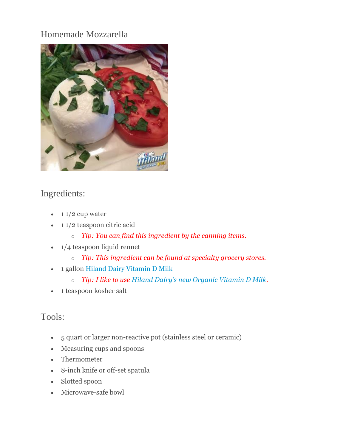# Homemade Mozzarella



# Ingredients:

- $\cdot$  1 1/2 cup water
- $\cdot$  11/2 teaspoon citric acid
	- o *Tip: You can find this ingredient by the canning items.*
- $\bullet$  1/4 teaspoon liquid rennet
	- o *Tip: This ingredient can be found at specialty grocery stores.*
- 1 gallon [Hiland Dairy Vitamin D Milk](http://hilanddairy.com/products/milks/)
	- o *Tip: I like to use [Hiland Dairy's new Organic Vitamin D Milk](http://hilanddairy.com/products/organic-milk).*
- 1 teaspoon kosher salt

### Tools:

- 5 quart or larger non-reactive pot (stainless steel or ceramic)
- Measuring cups and spoons
- Thermometer
- 8-inch knife or off-set spatula
- Slotted spoon
- Microwave-safe bowl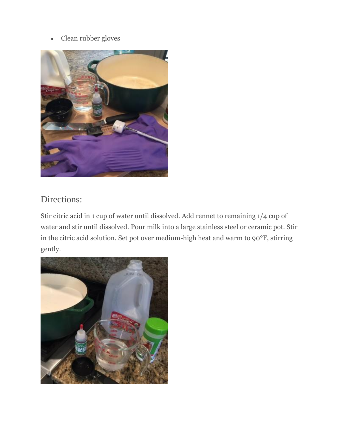#### Clean rubber gloves



# Directions:

Stir citric acid in 1 cup of water until dissolved. Add rennet to remaining 1/4 cup of water and stir until dissolved. Pour milk into a large stainless steel or ceramic pot. Stir in the citric acid solution. Set pot over medium-high heat and warm to 90°F, stirring gently.

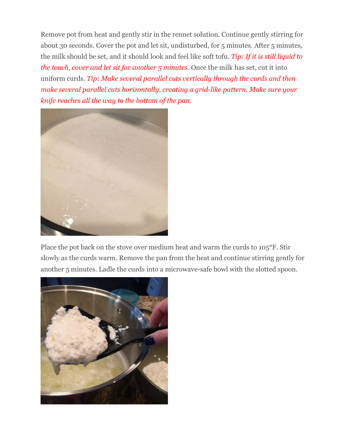Remove pot from heat and gently stir in the rennet solution. Continue gently stirring for about 30 seconds. Cover the pot and let sit, undisturbed, for 5 minutes. After 5 minutes, the milk should be set, and it should look and feel like soft tofu. *Tip: If it is still liquid to the touch, cover and let sit for another 5 minutes.* Once the milk has set, cut it into uniform curds. *Tip: Make several parallel cuts vertically through the curds and then make several parallel cuts horizontally, creating a grid-like pattern. Make sure your knife reaches all the way to the bottom of the pan.*



Place the pot back on the stove over medium heat and warm the curds to 105°F. Stir slowly as the curds warm. Remove the pan from the heat and continue stirring gently for another 5 minutes. Ladle the curds into a microwave-safe bowl with the slotted spoon.

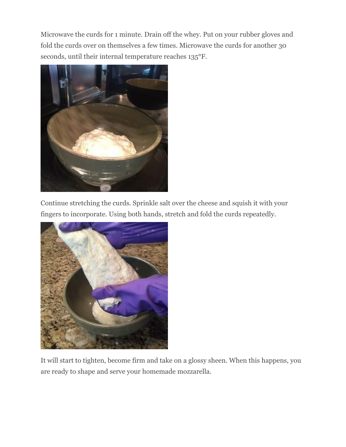Microwave the curds for 1 minute. Drain off the whey. Put on your rubber gloves and fold the curds over on themselves a few times. Microwave the curds for another 30 seconds, until their internal temperature reaches 135°F.



Continue stretching the curds. Sprinkle salt over the cheese and squish it with your fingers to incorporate. Using both hands, stretch and fold the curds repeatedly.



It will start to tighten, become firm and take on a glossy sheen. When this happens, you are ready to shape and serve your homemade mozzarella.